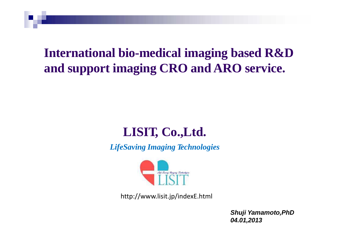## **International bio-medical imaging based R&D and support imaging CRO and ARO service.**

## **LISIT, Co.,Ltd.**

*LifeSaving Imaging Technologies*



http://www.lisit.jp/indexE.html

*Shuji Yamamoto,PhD 04.01,2013*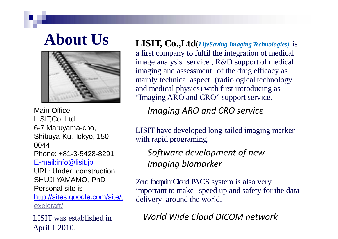

Main Office LISIT,Co.,Ltd. 6-7 Maruyama-cho, Shibuya-Ku, Tokyo, 150- 0044 Phone: +81-3-5428-8291 [E-mail:info@lisit.jp](mailto:info@lisit.jp) URL: Under construction SHUJI YAMAMO, PhD Personal site is <http://sites.google.com/site/t>

exelcraft/

LISIT was established in April 1 2010.

**About Us LISIT, Co.,Ltd**(*LifeSaving Imaging Technologies)* is a first company to fulfil the integration of medical image analysis service , R&D support of medical imaging and assessment of the drug efficacy as mainly technical aspect (radiological technology and medical physics) with first introducing as "Imaging ARO and CRO" support service.

*Imaging ARO and CRO service* 

LISIT have developed long-tailed imaging marker with rapid programing.

*Software development of new imaging biomarker*

Zero footprint Cloud PACS system is also very important to make speed up and safety for the data delivery around the world.

*World Wide Cloud DICOM network*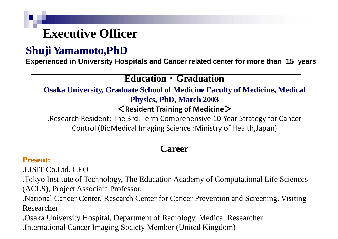## **Executive Officer**

## **Shuji Yamamoto,PhD**

**Experienced in University Hospitals and Cancer related center for more than 15 years**

### **Education・Graduation**

**Osaka University, Graduate School of Medicine Faculty of Medicine, Medical Physics, PhD, March 2003**

### <**Resident Training of Medicine**>

.Research Resident: The 3rd. Term Comprehensive 10-Year Strategy for Cancer Control (BioMedical Imaging Science :Ministry of Health,Japan)

### **Career**

### **Present:**

.LISIT Co.Ltd. CEO

.Tokyo Institute of Technology, The Education Academy of Computational Life Sciences (ACLS), Project Associate Professor.

.National Cancer Center, Research Center for Cancer Prevention and Screening. Visiting Researcher

.Osaka University Hospital, Department of Radiology, Medical Researcher .International Cancer Imaging Society Member (United Kingdom)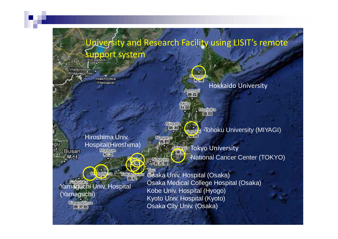#### piversity and Research Facility using LISIT's remote **Support system** Madivastak (Владивосток) **Napiso** Nakhodka  $+ - 4$ (Haxcorra) Hokkaido University Acanch Maraka 露間 Nilpate **Fohoku University (MIYAGI)** Hiroshima Univ. Nacars Hospital(Hiroshima) **The Tokyo University** Busan ・National Cancer Center (TOKYO) **Osaka Univ. Hospital (Osaka)** eshir na **BASTER** 高松 Osaka Medical College Hospital (Osaka) Yamaguchi Univ. Hospital Kobe Univ. Hospital (Hyogo) (Yamaguchi) Kyoto Univ. Hospital (Kyoto) **Koncefainta** Osaka City Univ. (Osaka) 鹿火馬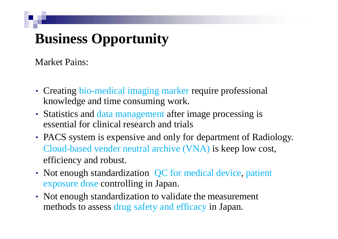# **Business Opportunity**

Market Pains:

- Creating bio-medical imaging marker require professional knowledge and time consuming work.
- Statistics and data management after image processing is essential for clinical research and trials
- PACS system is expensive and only for department of Radiology. Cloud-based vender neutral archive (VNA) is keep low cost, efficiency and robust.
- Not enough standardization QC for medical device, patient exposure dose controlling in Japan.
- Not enough standardization to validate the measurement methods to assess drug safety and efficacy in Japan.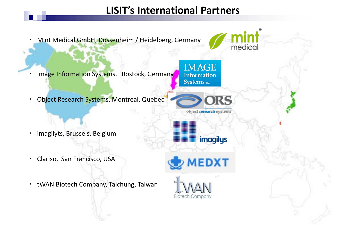## **LISIT's International Partners**

・ Mint Medical GmbH, Dossenheim / Heidelberg, Germany

- Image Information Systems, Rostock, Germany
- ・ Object Research Systems, Montreal, Quebec

- ・ imagilyts, Brussels, Belgium
- ・ Clariso, San Francisco, USA
- ・ tWAN Biotech Company, Taichung, Taiwan



medical







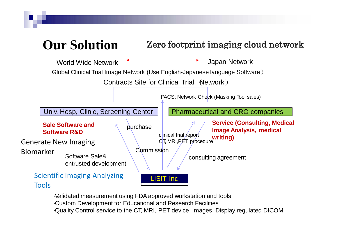

・Validated measurement using FDAapproved workstation and tools ・Custom Development for Educational and Research Facilities ・Quality Control service to the CT, MRI, PET device, Images, Display regulated DICOM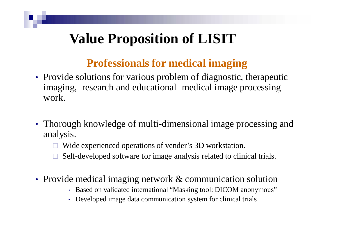## **Value Proposition of LISIT**

## **Professionals for medical imaging**

- Provide solutions for various problem of diagnostic, therapeutic imaging, research and educational medical image processing work.
- Thorough knowledge of multi-dimensional image processing and analysis.
	- □ Wide experienced operations of vender's 3D workstation.
	- Self-developed software for image analysis related to clinical trials.
- Provide medical imaging network & communication solution
	- Based on validated international "Masking tool: DICOM anonymous"
	- Developed image data communication system for clinical trials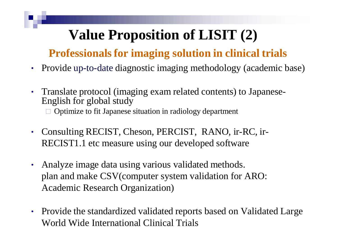# **Value Proposition of LISIT (2)**

## **Professionals for imaging solution in clinical trials**

- Provide up-to-date diagnostic imaging methodology (academic base)
- Translate protocol (imaging exam related contents) to Japanese- English for global study □ Optimize to fit Japanese situation in radiology department
- Consulting RECIST, Cheson, PERCIST, RANO, ir-RC, ir-RECIST1.1 etc measure using our developed software
- Analyze image data using various validated methods. plan and make CSV(computer system validation for ARO: Academic Research Organization)
- Provide the standardized validated reports based on Validated Large World Wide International Clinical Trials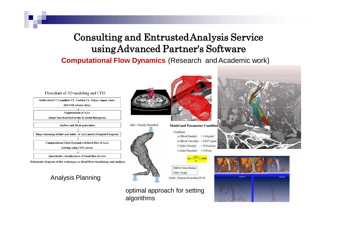### Consulting and EntrustedAnalysis Service usingAdvanced Partner's Software

### **Computational Flow Dynamics** (Research and Academic work)



Multi-sliced CT (Aquilion VZ, Toshiba Co, Tokvo, Japan) data (DICOM volume data) **Segmentation of AAA** (shape-based method to the bi-modal histogram) Surface and Mesh generation Shape trimming of inlet and outlet of AAA model (Original Program) **Computational Fluid Dynamics of blood flow of AAA** (solving using CFD solver)

Quantitative visualizations of blood flow of AAA

Schematic diagram of the technique in blood flow visualizing and analysis

### Analysis Planning



#### Condition  $p$  (Blood Density) = 1.06 g/cm<sup>3</sup> h (Blood Viscosity) = 0.0471 poise U(Inlet Velocity)  $= 50.0$  cm/sec L (Inlet Diameter) =  $2.50$  cm



### optimal approach for setting algorithms



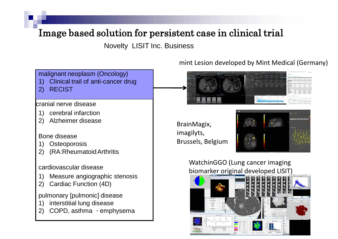### Image based solution for persistent case in clinical trial

Novelty LISIT Inc. Business

malignant neoplasm (Oncology)

- 1) Clinical trail of anti-cancer drug
- 2) RECIST

#### cranial nerve disease

- 1) cerebral infarction
- 2) Alzheimer disease

#### Bone disease

- 1) Osteoporosis
- 2) (RA:RheumatoidArthritis

cardiovascular disease

- 1) Measure angiographic stenosis
- 2) Cardiac Function (4D)

pulmonary [pulmonic] disease

- 1) interstitial lung disease
- 2) COPD, asthma 、emphysema

### mint Lesion developed by Mint Medical (Germany)



BrainMagix, imagilyts, Brussels, Belgium



WatchinGGO (Lung cancer imaging biomarker original developed LISIT)